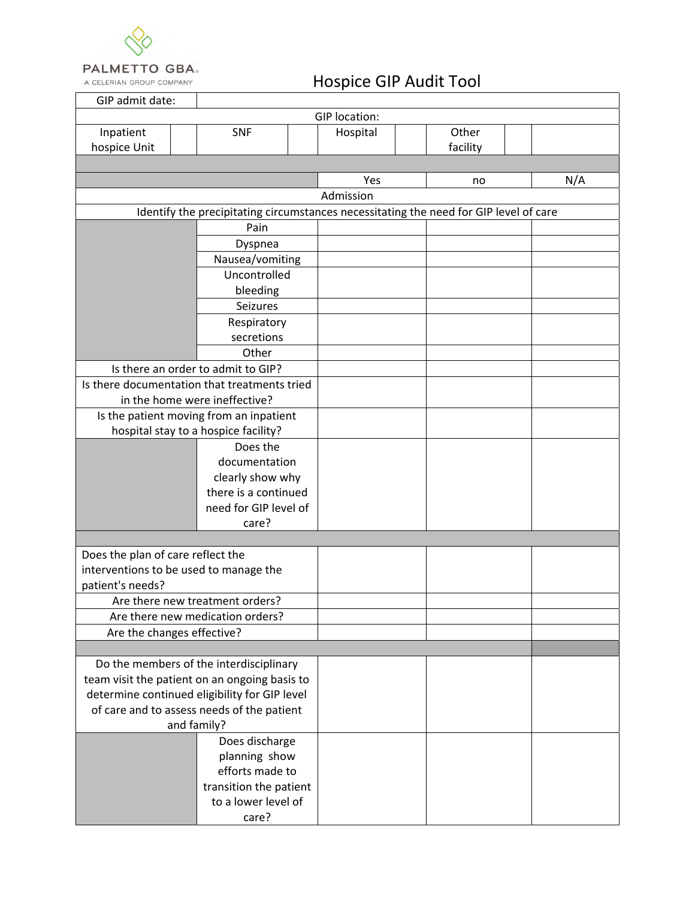

A CELERIAN GROUP COMPANY

## Hospice GIP Audit Tool

| GIP admit date:                                                                          |                                      |           |          |     |  |  |  |
|------------------------------------------------------------------------------------------|--------------------------------------|-----------|----------|-----|--|--|--|
| GIP location:                                                                            |                                      |           |          |     |  |  |  |
| Inpatient                                                                                | <b>SNF</b>                           | Hospital  | Other    |     |  |  |  |
| hospice Unit                                                                             |                                      |           | facility |     |  |  |  |
|                                                                                          |                                      |           |          |     |  |  |  |
|                                                                                          |                                      | Yes       | no       | N/A |  |  |  |
|                                                                                          |                                      | Admission |          |     |  |  |  |
| Identify the precipitating circumstances necessitating the need for GIP level of care    |                                      |           |          |     |  |  |  |
|                                                                                          |                                      |           |          |     |  |  |  |
| Pain                                                                                     |                                      |           |          |     |  |  |  |
| Dyspnea                                                                                  |                                      |           |          |     |  |  |  |
| Nausea/vomiting                                                                          |                                      |           |          |     |  |  |  |
| Uncontrolled                                                                             |                                      |           |          |     |  |  |  |
| bleeding                                                                                 |                                      |           |          |     |  |  |  |
|                                                                                          | Seizures                             |           |          |     |  |  |  |
| Respiratory                                                                              |                                      |           |          |     |  |  |  |
|                                                                                          | secretions                           |           |          |     |  |  |  |
|                                                                                          | Other                                |           |          |     |  |  |  |
|                                                                                          | Is there an order to admit to GIP?   |           |          |     |  |  |  |
| Is there documentation that treatments tried                                             |                                      |           |          |     |  |  |  |
|                                                                                          | in the home were ineffective?        |           |          |     |  |  |  |
| Is the patient moving from an inpatient                                                  |                                      |           |          |     |  |  |  |
|                                                                                          | hospital stay to a hospice facility? |           |          |     |  |  |  |
|                                                                                          | Does the                             |           |          |     |  |  |  |
|                                                                                          | documentation                        |           |          |     |  |  |  |
|                                                                                          | clearly show why                     |           |          |     |  |  |  |
|                                                                                          | there is a continued                 |           |          |     |  |  |  |
|                                                                                          | need for GIP level of                |           |          |     |  |  |  |
|                                                                                          | care?                                |           |          |     |  |  |  |
|                                                                                          |                                      |           |          |     |  |  |  |
| Does the plan of care reflect the                                                        |                                      |           |          |     |  |  |  |
| interventions to be used to manage the                                                   |                                      |           |          |     |  |  |  |
| patient's needs?                                                                         |                                      |           |          |     |  |  |  |
| Are there new treatment orders?                                                          |                                      |           |          |     |  |  |  |
| Are there new medication orders?                                                         |                                      |           |          |     |  |  |  |
| Are the changes effective?                                                               |                                      |           |          |     |  |  |  |
|                                                                                          |                                      |           |          |     |  |  |  |
|                                                                                          |                                      |           |          |     |  |  |  |
| Do the members of the interdisciplinary<br>team visit the patient on an ongoing basis to |                                      |           |          |     |  |  |  |
| determine continued eligibility for GIP level                                            |                                      |           |          |     |  |  |  |
| of care and to assess needs of the patient                                               |                                      |           |          |     |  |  |  |
| and family?                                                                              |                                      |           |          |     |  |  |  |
| Does discharge                                                                           |                                      |           |          |     |  |  |  |
|                                                                                          | planning show                        |           |          |     |  |  |  |
|                                                                                          | efforts made to                      |           |          |     |  |  |  |
|                                                                                          | transition the patient               |           |          |     |  |  |  |
|                                                                                          | to a lower level of                  |           |          |     |  |  |  |
|                                                                                          | care?                                |           |          |     |  |  |  |
|                                                                                          |                                      |           |          |     |  |  |  |